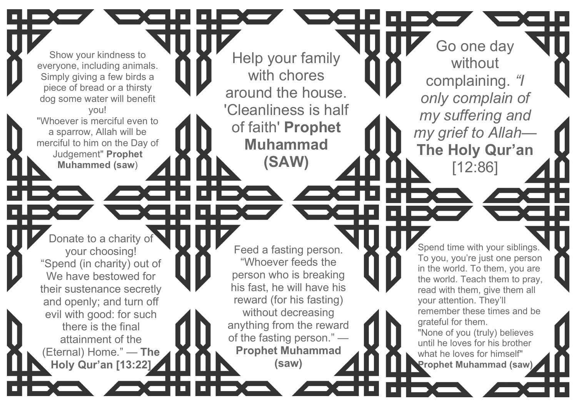Show your kindness to everyone, including animals. Simply giving a few birds a piece of bread or a thirsty dog some water will benefit you! "Whoever is merciful even to

a sparrow, Allah will be merciful to him on the Day of Judgement" **Prophet Muhammed (saw** )

Donate to a charity of your choosing! "Spend (in charity) out of We have bestowed for their sustenance secretly and openly; and turn off evil with good: for such there is the final attainment of the

(Eternal) Home." — **The Holy Qur'an [13:22]**

Feed a fasting person. "Whoever feeds the person who is breaking his fast, he will have his reward (for his fasting) without decreasing anything from the reward of the fasting person." — **Prophet Muhammad (saw)**

Help your family

with chores

around the house.

'Cleanliness is half

of faith' **Prophet** 

**Muhammad**

**(SAW)**

Go one day without complaining. *"I only complain of my suffering and my grief to Allah* — **The Holy Qur'an**

[12:86]

Spend time with your siblings. To you, you're just one person in the world. To them, you are the world. Teach them to pray, read with them, give them all your attention. They'll remember these times and be grateful for them.

"None of you (truly) believes until he loves for his brother what he loves for himself" **Prophet Muhammad (saw)**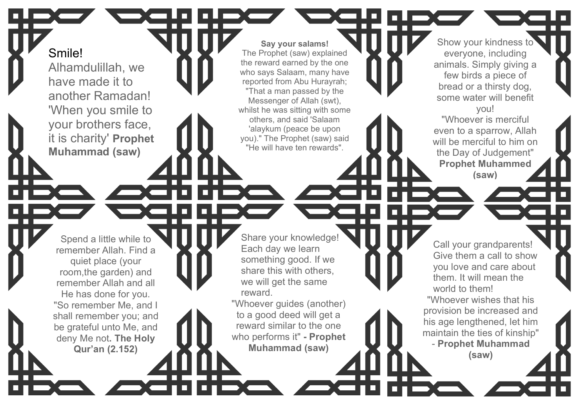Smile!

Alhamdulillah, we have made it to another Ramadan! 'When you smile to your brothers face, it is charity' **Prophet Muhammad (saw)**

**Say your salams!** The Prophet (saw) explained the reward earned by the one who says Salaam, many have reported from Abu Hurayrah; "That a man passed by the Messenger of Allah (swt), whilst he was sitting with some others, and said 'Salaam 'alaykum (peace be upon you)." The Prophet (saw) said "He will have ten rewards".

Spend a little while to remember Allah. Find a quiet place (your room,the garden) and remember Allah and all He has done for you. "So remember Me, and I shall remember you; and

be grateful unto Me, and deny Me not**. The Holy Qur'an (2.152)**

Share your knowledge! Each day we learn something good. If we share this with others, we will get the same reward.

"Whoever guides (another) to a good deed will get a reward similar to the one who performs it" **- Prophet Muhammad (saw)**

even to a sparrow, Allah will be merciful to him on the Day of Judgement" **Prophet Muhammed (saw)**

Show your kindness to everyone, including animals. Simply giving a few birds a piece of bread or a thirsty dog, some water will benefit you! "Whoever is merciful

Call your grandparents! Give them a call to show you love and care about them. It will mean the world to them!

"Whoever wishes that his provision be increased and his age lengthened, let him maintain the ties of kinship" - **Prophet Muhammad (saw)**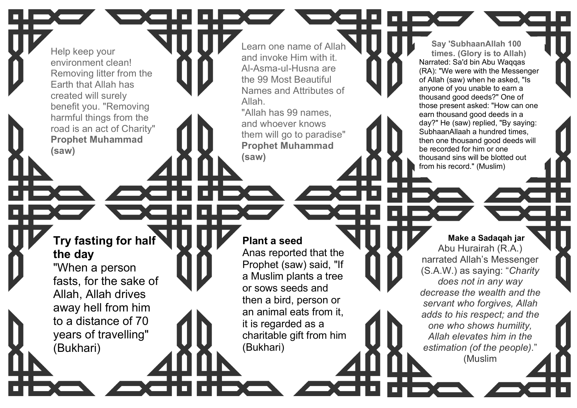Help keep your environment clean! Removing litter from the Earth that Allah has created will surely benefit you. "Removing harmful things from the road is an act of Charity" **Prophet Muhammad (saw)**

Learn one name of Alla and invoke Him with it. Al -Asma -ul -Husna are the 99 Most Beautiful Names and Attributes of Allah.

"Allah has 99 names, and whoever knows them will go to paradise" **Prophet Muhammad (saw)**

**Say 'SubhaanAllah 100 times. (Glory is to Allah)** Narrated: Sa'd bin Abu Waqqas (RA): "We were with the Messenger of Allah (saw) when he asked, "Is anyone of you unable to earn a thousand good deeds?" One of those present asked: "How can one earn thousand good deeds in a day?" He (saw) replied, "By saying: SubhaanAllaah a hundred times, then one thousand good deeds will be recorded for him or one thousand sins will be blotted out from his record." (Muslim)

## **Try fasting for half the day**

"When a person fasts, for the sake of Allah, Allah drives away hell from him to a distance of 70 years of travelling" (Bukhari)

## **Plant a seed**

Anas reported that the Prophet (saw) said, "If a Muslim plants a tree or sows seeds and then a bird, person or an animal eats from it, it is regarded as a charitable gift from him (Bukhari)

**Make a Sadaqah jar** Abu Hurairah (R.A.) narrated Allah's Messenger (S.A.W.) as saying: "*Charity does not in any way decrease the wealth and the servant who forgives, Allah adds to his respect; and the one who shows humility, Allah elevates him in the estimation (of the people)*." (Muslim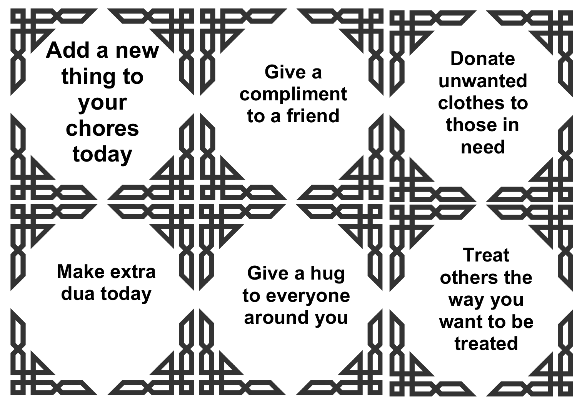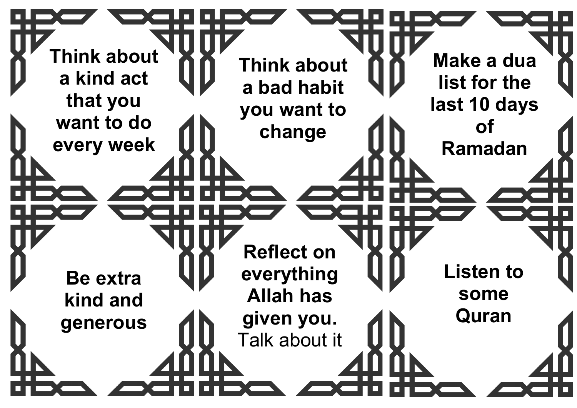